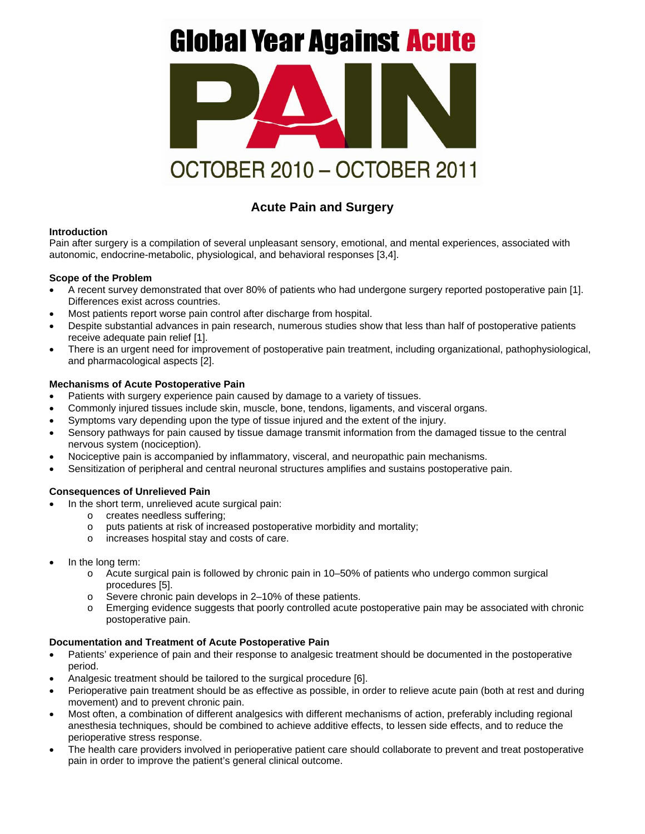# **Global Year Against Acute**



## **Acute Pain and Surgery**

### **Introduction**

Pain after surgery is a compilation of several unpleasant sensory, emotional, and mental experiences, associated with autonomic, endocrine-metabolic, physiological, and behavioral responses [3,4].

#### **Scope of the Problem**

- A recent survey demonstrated that over 80% of patients who had undergone surgery reported postoperative pain [1]. Differences exist across countries.
- Most patients report worse pain control after discharge from hospital.
- Despite substantial advances in pain research, numerous studies show that less than half of postoperative patients receive adequate pain relief [1].
- There is an urgent need for improvement of postoperative pain treatment, including organizational, pathophysiological, and pharmacological aspects [2].

#### **Mechanisms of Acute Postoperative Pain**

- Patients with surgery experience pain caused by damage to a variety of tissues.
- Commonly injured tissues include skin, muscle, bone, tendons, ligaments, and visceral organs.
- Symptoms vary depending upon the type of tissue injured and the extent of the injury.
- Sensory pathways for pain caused by tissue damage transmit information from the damaged tissue to the central nervous system (nociception).
- Nociceptive pain is accompanied by inflammatory, visceral, and neuropathic pain mechanisms.
- Sensitization of peripheral and central neuronal structures amplifies and sustains postoperative pain.

#### **Consequences of Unrelieved Pain**

- In the short term, unrelieved acute surgical pain:
	- o creates needless suffering;
	- o puts patients at risk of increased postoperative morbidity and mortality;
	- o increases hospital stay and costs of care.
- In the long term:
	- o Acute surgical pain is followed by chronic pain in 10–50% of patients who undergo common surgical procedures [5].
	- o Severe chronic pain develops in 2–10% of these patients.
	- o Emerging evidence suggests that poorly controlled acute postoperative pain may be associated with chronic postoperative pain.

#### **Documentation and Treatment of Acute Postoperative Pain**

- Patients' experience of pain and their response to analgesic treatment should be documented in the postoperative period.
- Analgesic treatment should be tailored to the surgical procedure [6].
- Perioperative pain treatment should be as effective as possible, in order to relieve acute pain (both at rest and during movement) and to prevent chronic pain.
- Most often, a combination of different analgesics with different mechanisms of action, preferably including regional anesthesia techniques, should be combined to achieve additive effects, to lessen side effects, and to reduce the perioperative stress response.
- The health care providers involved in perioperative patient care should collaborate to prevent and treat postoperative pain in order to improve the patient's general clinical outcome.